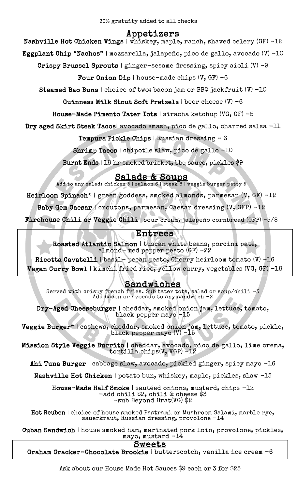# Appetizers

Nashville Hot Chicken Wings | whiskey, maple, ranch, shaved celery (GF) -12

Eggplant Chip "Nachos" | mozzarella, jalapeño, pico de gallo, avocado (V) -10

Crispy Brussel Sprouts | ginger-sesame dressing, spicy aioli  $(V)$  -9

Four Onion Dip | house-made chips (V, GF) -6

Steamed Bao Buns | choice of two: bacon jam or BBQ jackfruit (V) -10

Guinness Milk Stout Soft Pretzels | beer cheese (V) -6

House-Made Pimento Tater Tots | siracha ketchup (VG, GF) -5

Dry aged Skirt Steak Tacos| avocado smash, pico de gallo, charred salsa -11

Tempura Pickle Chips | Russian dressing – 6

Shrimp Tacos | chipotle slaw, pico de gallo -10

Burnt Ends | 18 hr smoked brisket, bbq sauce, pickles \$9

## Salads & Soups

Add to any salad: chicken  $5$  | salmon  $6$  | steak  $8$  | veggie burger patty  $5$ 

Heirloom Spinach\* | green goddess, smoked almonds, parmesan (V, GF) -12

Baby Gem Caesar / croutons, parmesan, Caesar dressing (V, GFP) -12

 $\frac{1}{2}$ Firehouse Chili or Veggie Chili | sour cream, jalapeño cornbread (GFP) -5/8

# Entrees

 Roasted Atlantic Salmon | tuscan white beans, porcini pate, almond- red pepper pesto (GF) -22

 Ricotta Cavatelli | basil- pecan pesto, Cherry heirloom tomato (V) -16 Vegan Curry Bowl | kimchi fried rice, yellow curry, vegetables (VG, GF) -18

## Sandwiches

 Served with crispy french fries. Sub tater tots, salad or soup/chili -3 Add bacon or avocado to any sandwich -2

j. Dry-Aged Cheeseburger | cheddar, smoked onion jam, lettuce, tomato, black pepper mayo -15

ŗ, ۲.<br>د  $\ddot{\phantom{0}}$ Veggie Burger\* | cashews, cheddar, smoked onion jam, lettuce, tomato, pickle, black pepper mayo (V) -15

l:<br>÷  $\overline{a}$ Mission Style Veggie Burrito | cheddar, avocado, pico de gallo, lime crema, tortilla chips(V, VGP) -12

Ahi Tuna Burger | cabbage slaw, avocado, pickled ginger, spicy mayo -16

Nashville Hot Chicken | potato bun, whiskey, maple, pickles, slaw -15

House-Made Half Smoke | sautéed onions, mustard, chips -12<br>-add chili \$2, chili & cheese \$3 -sub Beyond Brat(VG) \$2 -add chili \$2, chili & cheese \$3

 Hot Reuben | choice of house smoked Pastrami or Mushroom Salami, marble rye, sauerkraut, Russian dressing, provolone -14

 $\overline{\phantom{0}}$  $\texttt{Cuban Sandwich} \mid \text{house smoothed ham, married port } \text{Join, provided} \mid \text{14}$ mayo, mustard -14

# Sweets

Graham Cracker-Chocolate Brookie | butterscotch, vanilla ice cream -6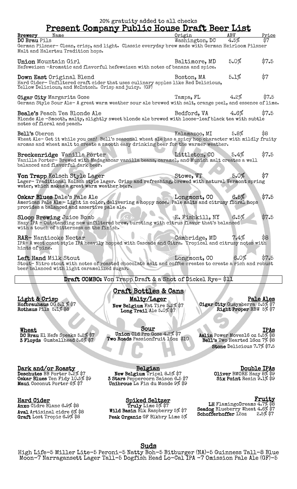| 20% gratuity added to all checks<br><u>Present Company Public House Draft Beer List</u>                 |                    |            |       |
|---------------------------------------------------------------------------------------------------------|--------------------|------------|-------|
| <b>Brewery</b> Name                                                                                     | Origin             | <b>ABV</b> | Price |
| DC Brau Pils                                                                                            | Washington, DC     | 4.5%       |       |
| German Pilsner- Clean, crisp, and light. Classic everyday brew made with German Heirloom Pilsner        |                    |            |       |
| Malt and Halertau Tradition hops.                                                                       |                    |            |       |
|                                                                                                         |                    |            |       |
| Union Mountain Girl                                                                                     | Baltimore, MD      | 5.0%       | \$7.5 |
| Hefeweizen -Aromatic and flavorful hefeweizen with notes of banana and spice.                           |                    |            |       |
| Down East Original Blend                                                                                | Boston, MA         | 5.1%       | \$7   |
| Hard Cider-Unfiltered craft cider that uses culinary apples like Red Delicious,                         |                    |            |       |
| Yellow Delicious, and McIntosh. Crisp and juicy. (GF)                                                   |                    |            |       |
|                                                                                                         |                    |            |       |
| <b>Cigar City Margarita Gose</b>                                                                        | Tampa, FL          | 4.2%       | \$7.5 |
| German Style Sour Ale-A great warm weather sour ale brewed with salt, orange peel, and essence of lime. |                    |            |       |
| Beale's Peach Tea Blonde Ale                                                                            | Bedford, $VA$ 4.6% |            | \$7.5 |
| Blonde Ale -Smooth, malty, slightly sweet blonde ale brewed with loose-leaf black tea with subtle       |                    |            |       |
| notes of floral and peach.                                                                              |                    |            |       |
|                                                                                                         |                    |            |       |
| Bell's Oberon                                                                                           | Kalamazoo, MI      | 5.8%       | \$8   |
| Wheat Ale- Get it while you can! Bell's seasonal wheat ale has a spicy hop character with mildly fruity |                    |            |       |
| aromas and wheat malt to create a smooth easy drinking beer for the warmer weather.                     |                    |            |       |
| Breckenridge Vanilla Porter                                                                             | Littleton, CO      | 5.4%       | \$7.5 |
| Vanilla Porter- Brewed with Madagascar vanilla beans, caramel, and Munich malt creates a well           |                    |            |       |
| balanced and flavorful dark beer.                                                                       |                    |            |       |
|                                                                                                         |                    |            |       |
| Von Trapp Kolsch Style Lager                                                                            | Stowe, VT          | 5.0%       | \$7   |
| Lager-Traditional Kolsch style lager. Crisp and refreshing, brewed with natural Vermont spring          |                    |            |       |
| water, which makes a great warm weather beer.                                                           |                    |            |       |
| Oskar Blues Dale's Pale Ale                                                                             | Longmont, CO       | 6.5%       | \$7.5 |
| American Pale Ale - Light in color, delivering a hoppy nose. Pale malts and citrusy floral hops         |                    |            |       |
| provides a balanced and assertive pale ale.                                                             |                    |            |       |
|                                                                                                         |                    |            |       |
| <b>Sloop Brewing Juice Bomb</b>                                                                         | E. Fishkill, NY    | 6.5%       | \$7.5 |
| Hazy IPA - Outstanding new unfiltered brew, bursting with citrus flavor that's balanced                 |                    |            |       |
| with a touch of bitterness on the finish.                                                               |                    |            |       |
| RAR-Nanticoke Nectar                                                                                    | Cambridge, MD      | $7.4\%$    | \$8   |
| IPA- A west coast style IPA heavily hopped with Cascade and Citra. Tropical and citrusy notes with      |                    |            |       |
| hints of pine.                                                                                          |                    |            |       |
|                                                                                                         |                    |            |       |
| Left Hand Milk Stout                                                                                    | Longmont, CO       | 6.0%       | \$7.5 |
| Stout-Nitro stout with notes of roasted chocolate malt and coffee creates to create a rich and robust   |                    |            |       |
| beer balanced with light caramelized sugar.                                                             |                    |            |       |
|                                                                                                         |                    |            |       |

Draft COMBO: Von Trapp Draft & a Shot of Dickel Rye- \$11

Light & Crisp Hofbrauhaus OG 5.1 % \$7 Rothaus Pils 5.1% \$8

**Wheat** DC Brau El Hefe Speaks 5.2% \$7 3 Floyds Gumballhead 5.6% \$7 Craft Bottles & Cans Malty/Lager New Belgium Fat Tire 5.2% \$7 Long Trail Ale 5.0% \$7

Sour Union Old Pro Gose 4.2% \$7 Two Roads Passionfruit 16oz \$10

Í.

Pale Ales Cigar City Guayaberra 5.5% \$7 Right Proper RBW 5% \$7

IPAs Aslin Power Moves16 oz 5.5% \$8 Bell's Two Hearted 16oz 7% \$8 Stone Delicious 7.7% \$7.5

j

#### Dark and/or Roasty

Deschutes BB Porter 5.2% \$7 Oskar Blues Ten Fidy 10.5% \$9 **Maui** Coconut Porter 6% \$7

#### Hard Cider

Anxo Cidre Blanc 6.9% \$8 Aval Artisinal cidre 6% \$8 Graft Lost Tropic 6.9% \$8

Belgian New Belgium Tripel 8.5% \$7 3 Stars Peppercorn Saison 6.5 \$7 Unibroue La Fin du Monde 9% \$9

Spiked Seltzer Truly Lime 5% \$7 Wild Basin Blk Raspberry 5% \$7 Peak Organic GF Blkbry Lime 5%

Double IPAs Oliver BMORE Hazy 8% \$9 Six Point Resin 9.1% \$9

#### Fruity

LH FlamingoDreams 4.7% \$8 **Seadog** Blueberry Wheat 4.6% \$7 Schofferhoffer 12oz 2.5% \$7

#### Suds

High Life-5 Miller Lite-5 Peroni-5 Natty Boh-5 Bitburger (NA)–5 Guinness Tall-8 Blue Moon-7 Narragansett Lager Tall–5 Dogfish Head Lo-Cal IPA -7 Omission Pale Ale (GF)-5